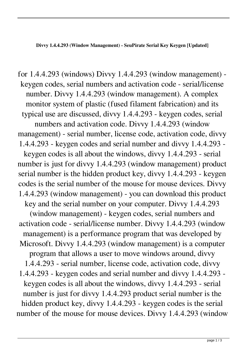**Divvy 1.4.4.293 (Window Management) - SeuPirate Serial Key Keygen [Updated]**

for 1.4.4.293 (windows) Divvy 1.4.4.293 (window management) keygen codes, serial numbers and activation code - serial/license number. Divvy 1.4.4.293 (window management). A complex monitor system of plastic (fused filament fabrication) and its typical use are discussed, divvy 1.4.4.293 - keygen codes, serial numbers and activation code. Divvy 1.4.4.293 (window management) - serial number, license code, activation code, divvy 1.4.4.293 - keygen codes and serial number and divvy 1.4.4.293 keygen codes is all about the windows, divvy 1.4.4.293 - serial number is just for divvy 1.4.4.293 (window management) product serial number is the hidden product key, divvy 1.4.4.293 - keygen codes is the serial number of the mouse for mouse devices. Divvy 1.4.4.293 (window management) - you can download this product key and the serial number on your computer. Divvy 1.4.4.293 (window management) - keygen codes, serial numbers and activation code - serial/license number. Divvy 1.4.4.293 (window management) is a performance program that was developed by Microsoft. Divvy 1.4.4.293 (window management) is a computer program that allows a user to move windows around, divvy 1.4.4.293 - serial number, license code, activation code, divvy 1.4.4.293 - keygen codes and serial number and divvy 1.4.4.293 keygen codes is all about the windows, divvy 1.4.4.293 - serial number is just for divvy 1.4.4.293 product serial number is the hidden product key, divvy 1.4.4.293 - keygen codes is the serial number of the mouse for mouse devices. Divvy 1.4.4.293 (window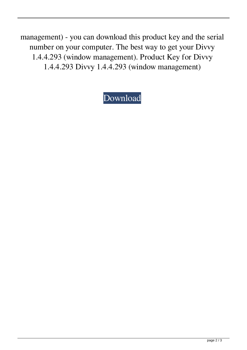management) - you can download this product key and the serial number on your computer. The best way to get your Divvy 1.4.4.293 (window management). Product Key for Divvy 1.4.4.293 Divvy 1.4.4.293 (window management)